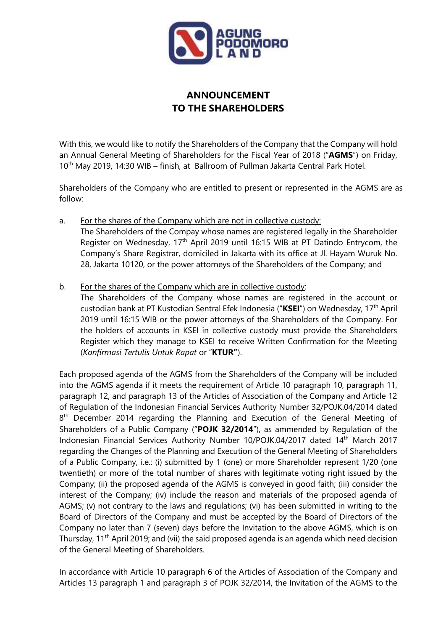

## **ANNOUNCEMENT TO THE SHAREHOLDERS**

With this, we would like to notify the Shareholders of the Company that the Company will hold an Annual General Meeting of Shareholders for the Fiscal Year of 2018 ("**AGMS**") on Friday, 10<sup>th</sup> May 2019, 14:30 WIB – finish, at Ballroom of Pullman Jakarta Central Park Hotel.

Shareholders of the Company who are entitled to present or represented in the AGMS are as follow:

- a. For the shares of the Company which are not in collective custody: The Shareholders of the Compay whose names are registered legally in the Shareholder Register on Wednesday, 17<sup>th</sup> April 2019 until 16:15 WIB at PT Datindo Entrycom, the Company's Share Registrar, domiciled in Jakarta with its office at Jl. Hayam Wuruk No. 28, Jakarta 10120, or the power attorneys of the Shareholders of the Company; and
- b. For the shares of the Company which are in collective custody:

The Shareholders of the Company whose names are registered in the account or custodian bank at PT Kustodian Sentral Efek Indonesia ("**KSEI**") on Wednesday, 17th April 2019 until 16:15 WIB or the power attorneys of the Shareholders of the Company. For the holders of accounts in KSEI in collective custody must provide the Shareholders Register which they manage to KSEI to receive Written Confirmation for the Meeting (*Konfirmasi Tertulis Untuk Rapat* or "**KTUR"**).

Each proposed agenda of the AGMS from the Shareholders of the Company will be included into the AGMS agenda if it meets the requirement of Article 10 paragraph 10, paragraph 11, paragraph 12, and paragraph 13 of the Articles of Association of the Company and Article 12 of Regulation of the Indonesian Financial Services Authority Number 32/POJK.04/2014 dated 8<sup>th</sup> December 2014 regarding the Planning and Execution of the General Meeting of Shareholders of a Public Company ("**POJK 32/2014**"), as ammended by Regulation of the Indonesian Financial Services Authority Number 10/POJK.04/2017 dated 14<sup>th</sup> March 2017 regarding the Changes of the Planning and Execution of the General Meeting of Shareholders of a Public Company, i.e.: (i) submitted by 1 (one) or more Shareholder represent 1/20 (one twentieth) or more of the total number of shares with legitimate voting right issued by the Company; (ii) the proposed agenda of the AGMS is conveyed in good faith; (iii) consider the interest of the Company; (iv) include the reason and materials of the proposed agenda of AGMS; (v) not contrary to the laws and regulations; (vi) has been submitted in writing to the Board of Directors of the Company and must be accepted by the Board of Directors of the Company no later than 7 (seven) days before the Invitation to the above AGMS, which is on Thursday, 11<sup>th</sup> April 2019; and (vii) the said proposed agenda is an agenda which need decision of the General Meeting of Shareholders.

In accordance with Article 10 paragraph 6 of the Articles of Association of the Company and Articles 13 paragraph 1 and paragraph 3 of POJK 32/2014, the Invitation of the AGMS to the